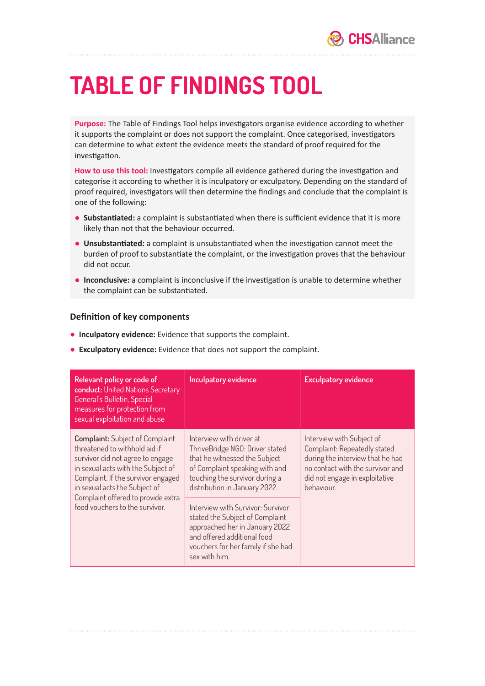## **TABLE OF FINDINGS TOOL**

**Purpose:** The Table of Findings Tool helps investigators organise evidence according to whether it supports the complaint or does not support the complaint. Once categorised, investigators can determine to what extent the evidence meets the standard of proof required for the investigation.

**How to use this tool:** Investigators compile all evidence gathered during the investigation and categorise it according to whether it is inculpatory or exculpatory. Depending on the standard of proof required, investigators will then determine the findings and conclude that the complaint is one of the following:

- **Substantiated:** a complaint is substantiated when there is sufficient evidence that it is more likely than not that the behaviour occurred.
- **Unsubstantiated:** a complaint is unsubstantiated when the investigation cannot meet the burden of proof to substantiate the complaint, or the investigation proves that the behaviour did not occur.
- **Inconclusive:** a complaint is inconclusive if the investigation is unable to determine whether the complaint can be substantiated.

## **Definition of key components**

- **Inculpatory evidence:** Evidence that supports the complaint.
- **Exculpatory evidence:** Evidence that does not support the complaint.

| Relevant policy or code of<br>conduct: United Nations Secretary<br>General's Bulletin, Special<br>measures for protection from<br>sexual exploitation and abuse                                                                                                                                  | Inculpatory evidence                                                                                                                                                                              | <b>Exculpatory evidence</b>                                                                                                                                                       |
|--------------------------------------------------------------------------------------------------------------------------------------------------------------------------------------------------------------------------------------------------------------------------------------------------|---------------------------------------------------------------------------------------------------------------------------------------------------------------------------------------------------|-----------------------------------------------------------------------------------------------------------------------------------------------------------------------------------|
| <b>Complaint:</b> Subject of Complaint<br>threatened to withhold aid if<br>survivor did not agree to engage<br>in sexual acts with the Subject of<br>Complaint. If the survivor engaged<br>in sexual acts the Subject of<br>Complaint offered to provide extra<br>food vouchers to the survivor. | Interview with driver at<br>ThriveBridge NGO: Driver stated<br>that he witnessed the Subject<br>of Complaint speaking with and<br>touching the survivor during a<br>distribution in January 2022. | Interview with Subject of<br>Complaint: Repeatedly stated<br>during the interview that he had<br>no contact with the survivor and<br>did not engage in exploitative<br>behaviour. |
|                                                                                                                                                                                                                                                                                                  | Interview with Survivor: Survivor<br>stated the Subject of Complaint<br>approached her in January 2022<br>and offered additional food<br>vouchers for her family if she had<br>sex with him.      |                                                                                                                                                                                   |